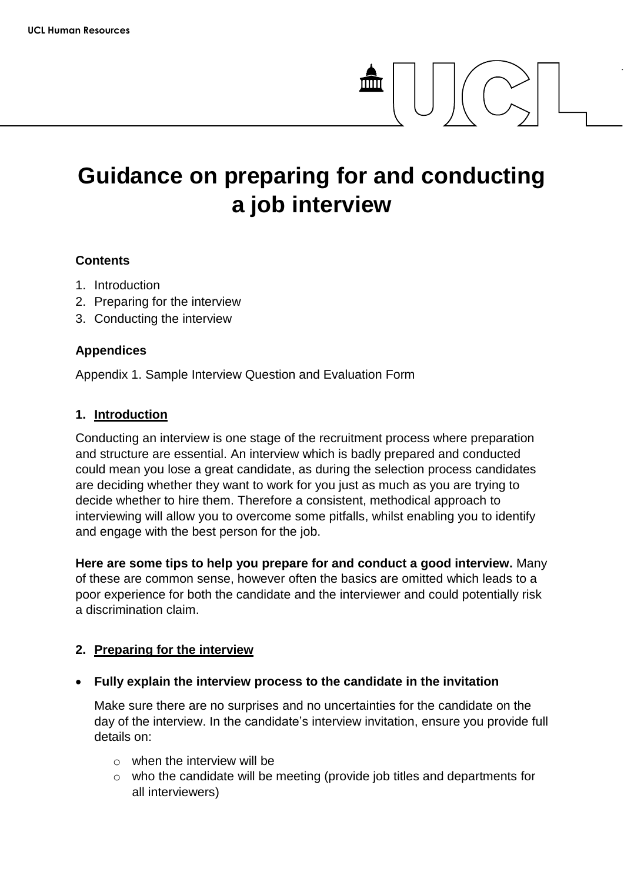# **Guidance on preparing for and conducting a job interview**

## **Contents**

- 1. Introduction
- 2. Preparing for the interview
- 3. Conducting the interview

## **Appendices**

Appendix 1. Sample Interview Question and Evaluation Form

### **1. Introduction**

Conducting an interview is one stage of the recruitment process where preparation and structure are essential. An interview which is badly prepared and conducted could mean you lose a great candidate, as during the selection process candidates are deciding whether they want to work for you just as much as you are trying to decide whether to hire them. Therefore a consistent, methodical approach to interviewing will allow you to overcome some pitfalls, whilst enabling you to identify and engage with the best person for the job.

**Here are some tips to help you prepare for and conduct a good interview.** Many of these are common sense, however often the basics are omitted which leads to a poor experience for both the candidate and the interviewer and could potentially risk a discrimination claim.

# **2. Preparing for the interview**

**Fully explain the interview process to the candidate in the invitation**

Make sure there are no surprises and no uncertainties for the candidate on the day of the interview. In the candidate's interview invitation, ensure you provide full details on:

- o when the interview will be
- o who the candidate will be meeting (provide job titles and departments for all interviewers)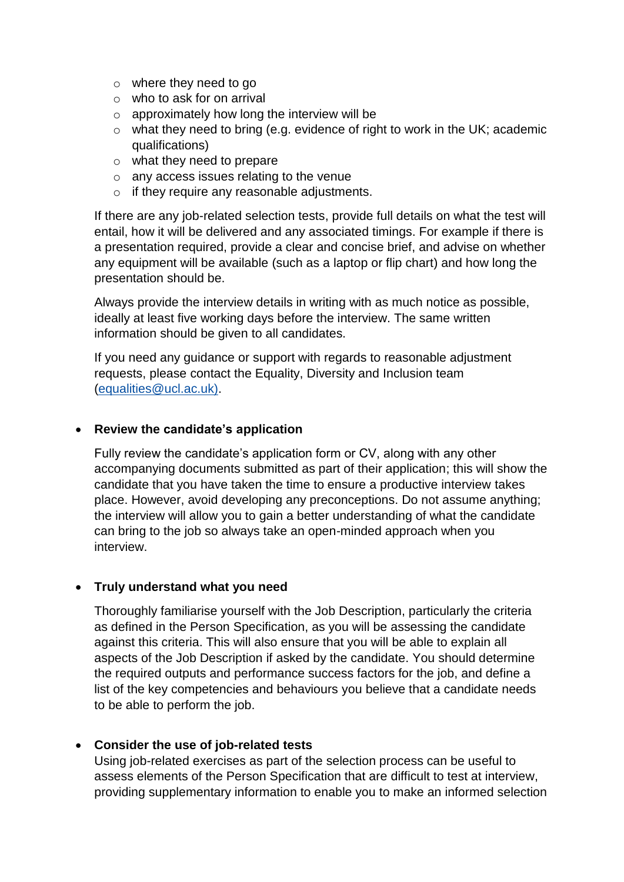- o where they need to go
- o who to ask for on arrival
- $\circ$  approximately how long the interview will be
- o what they need to bring (e.g. evidence of right to work in the UK; academic qualifications)
- o what they need to prepare
- o any access issues relating to the venue
- o if they require any reasonable adjustments.

If there are any job-related selection tests, provide full details on what the test will entail, how it will be delivered and any associated timings. For example if there is a presentation required, provide a clear and concise brief, and advise on whether any equipment will be available (such as a laptop or flip chart) and how long the presentation should be.

Always provide the interview details in writing with as much notice as possible, ideally at least five working days before the interview. The same written information should be given to all candidates.

If you need any guidance or support with regards to reasonable adjustment requests, please contact the Equality, Diversity and Inclusion team (equalities@ucl.ac.uk).

# **Review the candidate's application**

Fully review the candidate's application form or CV, along with any other accompanying documents submitted as part of their application; this will show the candidate that you have taken the time to ensure a productive interview takes place. However, avoid developing any preconceptions. Do not assume anything; the interview will allow you to gain a better understanding of what the candidate can bring to the job so always take an open-minded approach when you interview.

# **Truly understand what you need**

Thoroughly familiarise yourself with the Job Description, particularly the criteria as defined in the Person Specification, as you will be assessing the candidate against this criteria. This will also ensure that you will be able to explain all aspects of the Job Description if asked by the candidate. You should determine the required outputs and performance success factors for the job, and define a list of the key competencies and behaviours you believe that a candidate needs to be able to perform the job.

# **Consider the use of job-related tests**

Using job-related exercises as part of the selection process can be useful to assess elements of the Person Specification that are difficult to test at interview, providing supplementary information to enable you to make an informed selection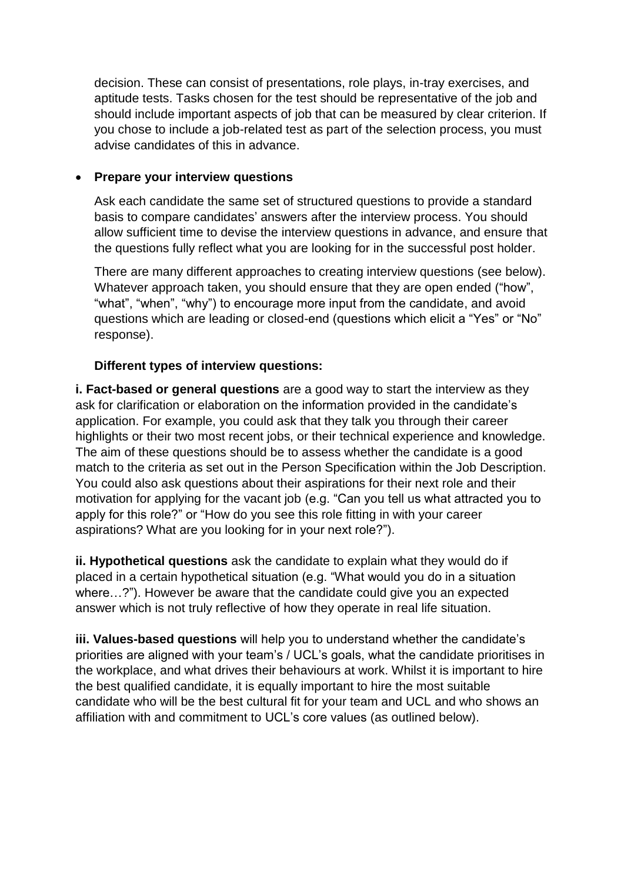decision. These can consist of presentations, role plays, in-tray exercises, and aptitude tests. Tasks chosen for the test should be representative of the job and should include important aspects of job that can be measured by clear criterion. If you chose to include a job-related test as part of the selection process, you must advise candidates of this in advance.

# **Prepare your interview questions**

Ask each candidate the same set of structured questions to provide a standard basis to compare candidates' answers after the interview process. You should allow sufficient time to devise the interview questions in advance, and ensure that the questions fully reflect what you are looking for in the successful post holder.

There are many different approaches to creating interview questions (see below). Whatever approach taken, you should ensure that they are open ended ("how", "what", "when", "why") to encourage more input from the candidate, and avoid questions which are leading or closed-end (questions which elicit a "Yes" or "No" response).

# **Different types of interview questions:**

**i. Fact-based or general questions** are a good way to start the interview as they ask for clarification or elaboration on the information provided in the candidate's application. For example, you could ask that they talk you through their career highlights or their two most recent jobs, or their technical experience and knowledge. The aim of these questions should be to assess whether the candidate is a good match to the criteria as set out in the Person Specification within the Job Description. You could also ask questions about their aspirations for their next role and their motivation for applying for the vacant job (e.g. "Can you tell us what attracted you to apply for this role?" or "How do you see this role fitting in with your career aspirations? What are you looking for in your next role?").

**ii. Hypothetical questions** ask the candidate to explain what they would do if placed in a certain hypothetical situation (e.g. "What would you do in a situation where…?"). However be aware that the candidate could give you an expected answer which is not truly reflective of how they operate in real life situation.

**iii. Values-based questions** will help you to understand whether the candidate's priorities are aligned with your team's / UCL's goals, what the candidate prioritises in the workplace, and what drives their behaviours at work. Whilst it is important to hire the best qualified candidate, it is equally important to hire the most suitable candidate who will be the best cultural fit for your team and UCL and who shows an affiliation with and commitment to UCL's core values (as outlined below).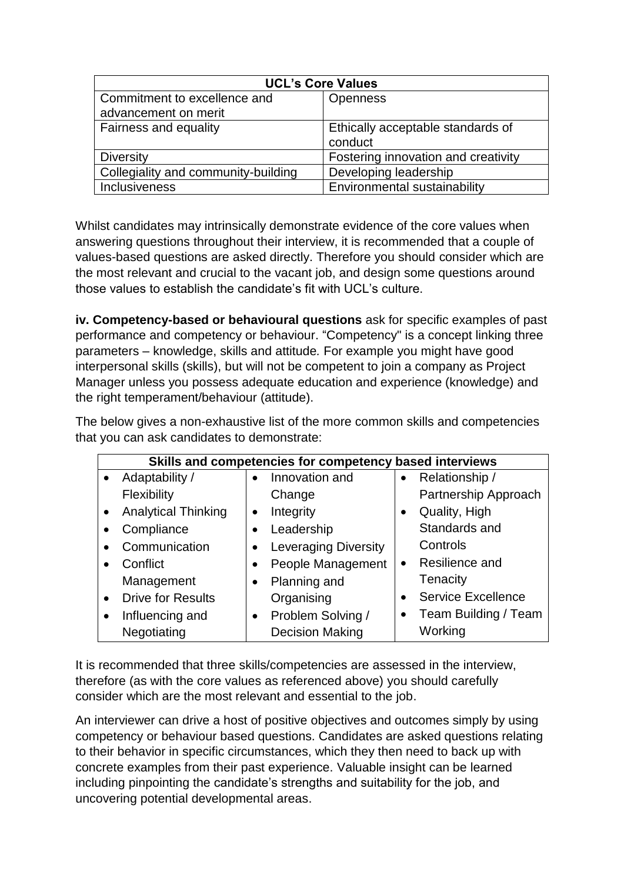| <b>UCL's Core Values</b>            |                                     |  |  |  |
|-------------------------------------|-------------------------------------|--|--|--|
| Commitment to excellence and        | <b>Openness</b>                     |  |  |  |
| advancement on merit                |                                     |  |  |  |
| Fairness and equality               | Ethically acceptable standards of   |  |  |  |
|                                     | conduct                             |  |  |  |
| <b>Diversity</b>                    | Fostering innovation and creativity |  |  |  |
| Collegiality and community-building | Developing leadership               |  |  |  |
| <b>Inclusiveness</b>                | Environmental sustainability        |  |  |  |

Whilst candidates may intrinsically demonstrate evidence of the core values when answering questions throughout their interview, it is recommended that a couple of values-based questions are asked directly. Therefore you should consider which are the most relevant and crucial to the vacant job, and design some questions around those values to establish the candidate's fit with UCL's culture.

**iv. Competency-based or behavioural questions** ask for specific examples of past performance and competency or behaviour. "Competency" is a concept linking three parameters – knowledge, skills and attitude*.* For example you might have good interpersonal skills (skills), but will not be competent to join a company as Project Manager unless you possess adequate education and experience (knowledge) and the right temperament/behaviour (attitude).

The below gives a non-exhaustive list of the more common skills and competencies that you can ask candidates to demonstrate:

| Skills and competencies for competency based interviews |                                |                             |  |  |  |
|---------------------------------------------------------|--------------------------------|-----------------------------|--|--|--|
| Adaptability /<br>$\bullet$                             | Innovation and                 | Relationship /              |  |  |  |
| Flexibility                                             | Change                         | Partnership Approach        |  |  |  |
| <b>Analytical Thinking</b><br>$\bullet$                 | Integrity                      | Quality, High               |  |  |  |
| Compliance<br>$\bullet$                                 | Leadership                     | Standards and               |  |  |  |
| Communication                                           | <b>Leveraging Diversity</b>    | Controls                    |  |  |  |
| Conflict                                                | People Management              | Resilience and<br>$\bullet$ |  |  |  |
| Management                                              | Planning and<br>$\bullet$      | Tenacity                    |  |  |  |
| <b>Drive for Results</b><br>$\bullet$                   | Organising                     | <b>Service Excellence</b>   |  |  |  |
| Influencing and<br>$\bullet$                            | Problem Solving /<br>$\bullet$ | Team Building / Team        |  |  |  |
| Negotiating                                             | <b>Decision Making</b>         | Working                     |  |  |  |

It is recommended that three skills/competencies are assessed in the interview, therefore (as with the core values as referenced above) you should carefully consider which are the most relevant and essential to the job.

An interviewer can drive a host of positive objectives and outcomes simply by using competency or behaviour based questions. Candidates are asked questions relating to their behavior in specific circumstances, which they then need to back up with concrete examples from their past experience. Valuable insight can be learned including pinpointing the candidate's strengths and suitability for the job, and uncovering potential developmental areas.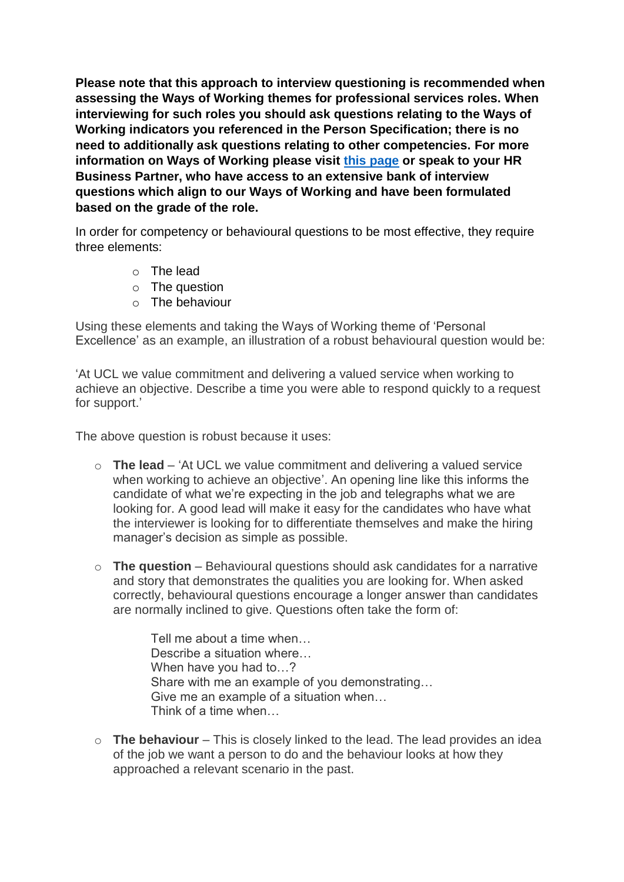**Please note that this approach to interview questioning is recommended when assessing the Ways of Working themes for professional services roles. When interviewing for such roles you should ask questions relating to the Ways of Working indicators you referenced in the Person Specification; there is no need to additionally ask questions relating to other competencies. For more information on Ways of Working please visit [this page](https://www.ucl.ac.uk/human-resources/policies-advice/ways-working) or speak to your HR Business Partner, who have access to an extensive bank of interview questions which align to our Ways of Working and have been formulated based on the grade of the role.**

In order for competency or behavioural questions to be most effective, they require three elements:

- o The lead
- o The question
- o The behaviour

Using these elements and taking the Ways of Working theme of 'Personal Excellence' as an example, an illustration of a robust behavioural question would be:

'At UCL we value commitment and delivering a valued service when working to achieve an objective. Describe a time you were able to respond quickly to a request for support.'

The above question is robust because it uses:

- o **The lead** 'At UCL we value commitment and delivering a valued service when working to achieve an objective'. An opening line like this informs the candidate of what we're expecting in the job and telegraphs what we are looking for. A good lead will make it easy for the candidates who have what the interviewer is looking for to differentiate themselves and make the hiring manager's decision as simple as possible.
- o **The question** Behavioural questions should ask candidates for a narrative and story that demonstrates the qualities you are looking for. When asked correctly, behavioural questions encourage a longer answer than candidates are normally inclined to give. Questions often take the form of:

Tell me about a time when… Describe a situation where... When have you had to…? Share with me an example of you demonstrating… Give me an example of a situation when… Think of a time when…

o **The behaviour** – This is closely linked to the lead. The lead provides an idea of the job we want a person to do and the behaviour looks at how they approached a relevant scenario in the past.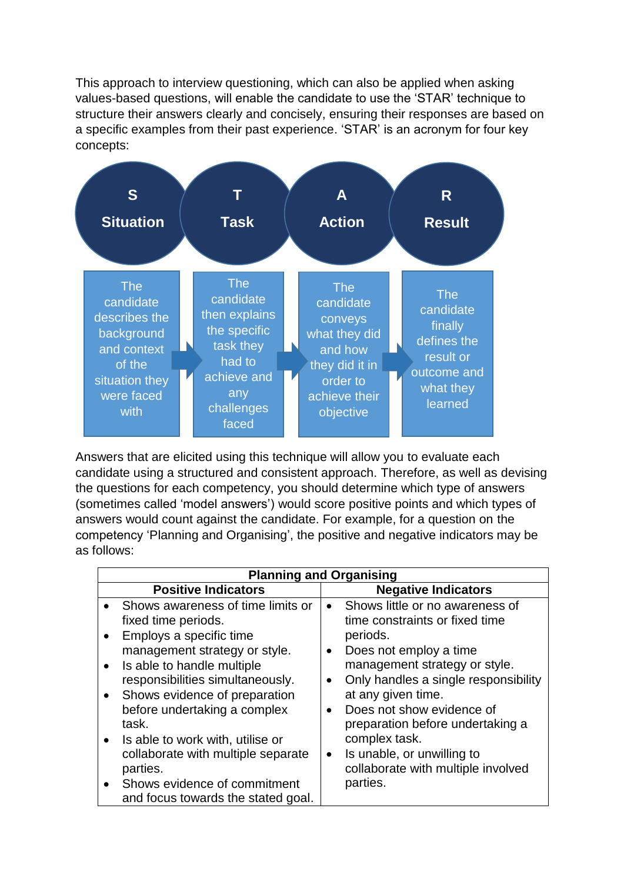This approach to interview questioning, which can also be applied when asking values-based questions, will enable the candidate to use the 'STAR' technique to structure their answers clearly and concisely, ensuring their responses are based on a specific examples from their past experience. 'STAR' is an acronym for four key concepts:



Answers that are elicited using this technique will allow you to evaluate each candidate using a structured and consistent approach. Therefore, as well as devising the questions for each competency, you should determine which type of answers (sometimes called 'model answers') would score positive points and which types of answers would count against the candidate. For example, for a question on the competency 'Planning and Organising', the positive and negative indicators may be as follows:

| <b>Planning and Organising</b> |                                                                                                                                                                                                                                                                                                      |           |                                                                                                                                                                                                                                                                                          |  |  |
|--------------------------------|------------------------------------------------------------------------------------------------------------------------------------------------------------------------------------------------------------------------------------------------------------------------------------------------------|-----------|------------------------------------------------------------------------------------------------------------------------------------------------------------------------------------------------------------------------------------------------------------------------------------------|--|--|
| <b>Positive Indicators</b>     |                                                                                                                                                                                                                                                                                                      |           | <b>Negative Indicators</b>                                                                                                                                                                                                                                                               |  |  |
|                                | Shows awareness of time limits or<br>fixed time periods.<br>Employs a specific time<br>management strategy or style.<br>Is able to handle multiple<br>responsibilities simultaneously.<br>Shows evidence of preparation<br>before undertaking a complex<br>task.<br>Is able to work with, utilise or | $\bullet$ | Shows little or no awareness of<br>time constraints or fixed time<br>periods.<br>Does not employ a time<br>management strategy or style.<br>Only handles a single responsibility<br>at any given time.<br>Does not show evidence of<br>preparation before undertaking a<br>complex task. |  |  |
|                                | collaborate with multiple separate<br>parties.                                                                                                                                                                                                                                                       | $\bullet$ | Is unable, or unwilling to<br>collaborate with multiple involved                                                                                                                                                                                                                         |  |  |
|                                | Shows evidence of commitment<br>and focus towards the stated goal.                                                                                                                                                                                                                                   |           | parties.                                                                                                                                                                                                                                                                                 |  |  |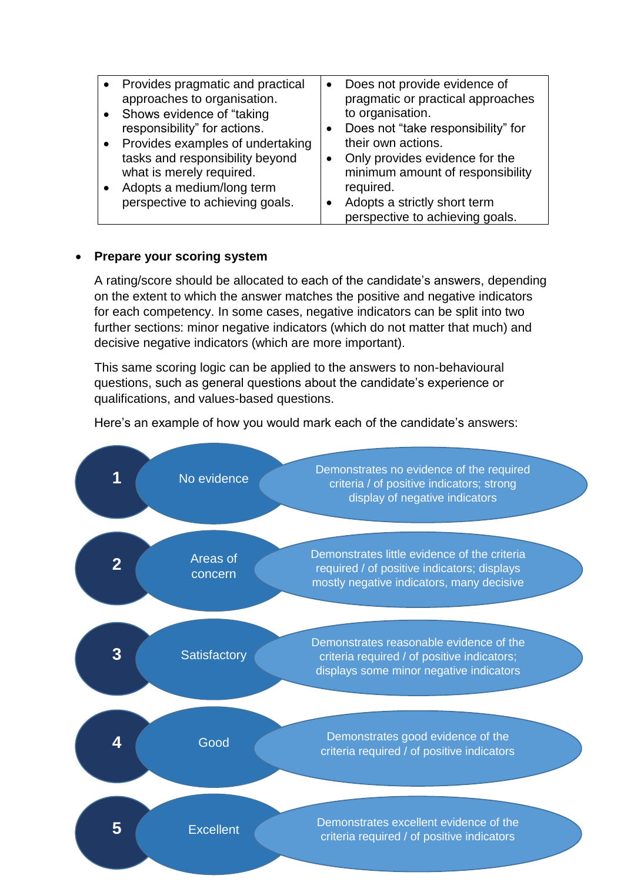| Provides pragmatic and practical                            | $\bullet$ | Does not provide evidence of                                       |
|-------------------------------------------------------------|-----------|--------------------------------------------------------------------|
| approaches to organisation.                                 |           | pragmatic or practical approaches                                  |
| • Shows evidence of "taking"                                |           | to organisation.                                                   |
| responsibility" for actions.                                |           | • Does not "take responsibility" for                               |
| Provides examples of undertaking                            |           | their own actions.                                                 |
| tasks and responsibility beyond<br>what is merely required. | $\bullet$ | Only provides evidence for the<br>minimum amount of responsibility |
| Adopts a medium/long term                                   |           | required.                                                          |
| perspective to achieving goals.                             | $\bullet$ | Adopts a strictly short term                                       |
|                                                             |           | perspective to achieving goals.                                    |

## **Prepare your scoring system**

A rating/score should be allocated to each of the candidate's answers, depending on the extent to which the answer matches the positive and negative indicators for each competency. In some cases, negative indicators can be split into two further sections: minor negative indicators (which do not matter that much) and decisive negative indicators (which are more important).

This same scoring logic can be applied to the answers to non-behavioural questions, such as general questions about the candidate's experience or qualifications, and values-based questions.

Here's an example of how you would mark each of the candidate's answers:

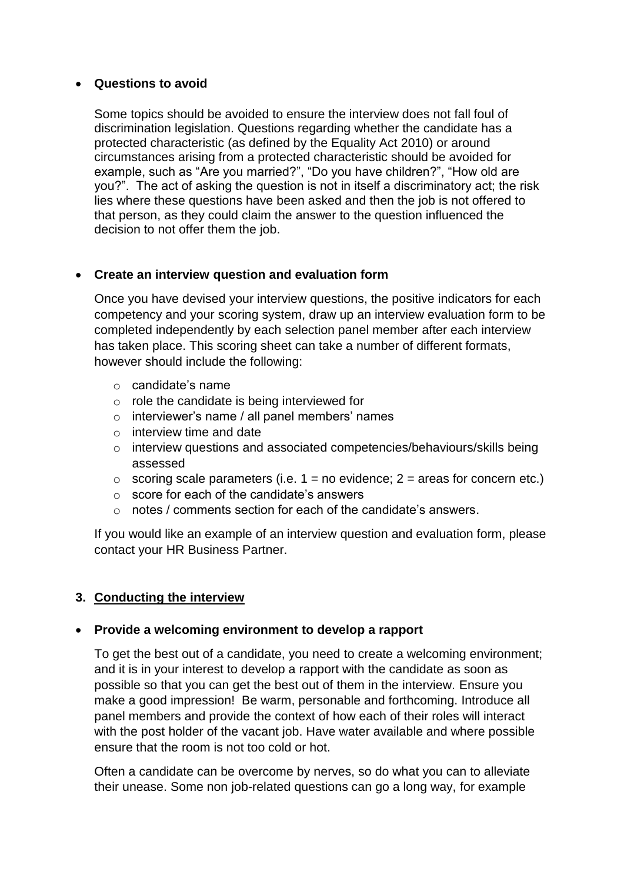## **Questions to avoid**

Some topics should be avoided to ensure the interview does not fall foul of discrimination legislation. Questions regarding whether the candidate has a protected characteristic (as defined by the Equality Act 2010) or around circumstances arising from a protected characteristic should be avoided for example, such as "Are you married?", "Do you have children?", "How old are you?". The act of asking the question is not in itself a discriminatory act; the risk lies where these questions have been asked and then the job is not offered to that person, as they could claim the answer to the question influenced the decision to not offer them the job.

# **Create an interview question and evaluation form**

Once you have devised your interview questions, the positive indicators for each competency and your scoring system, draw up an interview evaluation form to be completed independently by each selection panel member after each interview has taken place. This scoring sheet can take a number of different formats, however should include the following:

- o candidate's name
- o role the candidate is being interviewed for
- o interviewer's name / all panel members' names
- o interview time and date
- o interview questions and associated competencies/behaviours/skills being assessed
- $\circ$  scoring scale parameters (i.e. 1 = no evidence; 2 = areas for concern etc.)
- o score for each of the candidate's answers
- o notes / comments section for each of the candidate's answers.

If you would like an example of an interview question and evaluation form, please contact your HR Business Partner.

# **3. Conducting the interview**

### **Provide a welcoming environment to develop a rapport**

To get the best out of a candidate, you need to create a welcoming environment; and it is in your interest to develop a rapport with the candidate as soon as possible so that you can get the best out of them in the interview. Ensure you make a good impression! Be warm, personable and forthcoming. Introduce all panel members and provide the context of how each of their roles will interact with the post holder of the vacant job. Have water available and where possible ensure that the room is not too cold or hot.

Often a candidate can be overcome by nerves, so do what you can to alleviate their unease. Some non job-related questions can go a long way, for example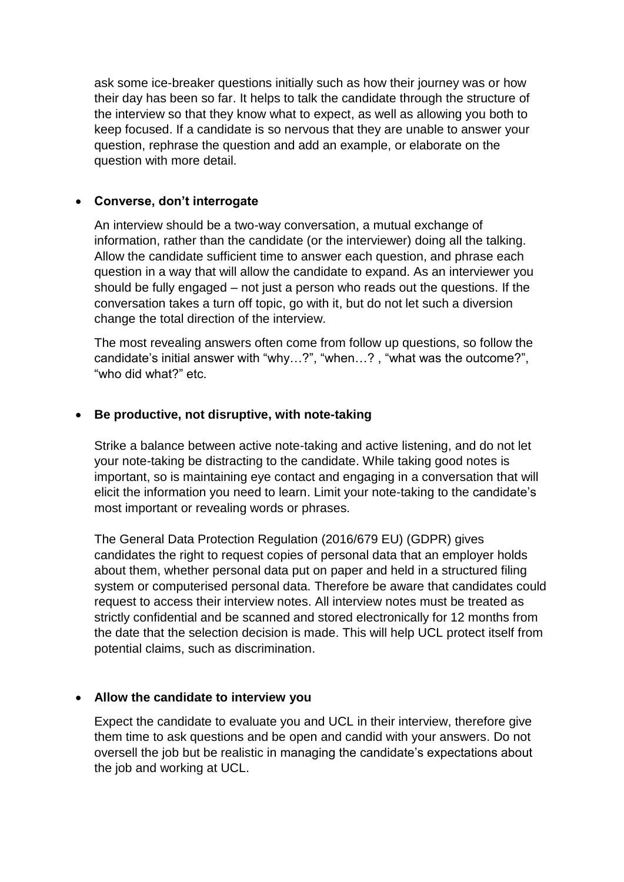ask some ice-breaker questions initially such as how their journey was or how their day has been so far. It helps to talk the candidate through the structure of the interview so that they know what to expect, as well as allowing you both to keep focused. If a candidate is so nervous that they are unable to answer your question, rephrase the question and add an example, or elaborate on the question with more detail.

## **Converse, don't interrogate**

An interview should be a two-way conversation, a mutual exchange of information, rather than the candidate (or the interviewer) doing all the talking. Allow the candidate sufficient time to answer each question, and phrase each question in a way that will allow the candidate to expand. As an interviewer you should be fully engaged – not just a person who reads out the questions. If the conversation takes a turn off topic, go with it, but do not let such a diversion change the total direction of the interview.

The most revealing answers often come from follow up questions, so follow the candidate's initial answer with "why…?", "when…? , "what was the outcome?", "who did what?" etc.

## **Be productive, not disruptive, with note-taking**

Strike a balance between active note-taking and active listening, and do not let your note-taking be distracting to the candidate. While taking good notes is important, so is maintaining eye contact and engaging in a conversation that will elicit the information you need to learn. Limit your note-taking to the candidate's most important or revealing words or phrases.

The General Data Protection Regulation (2016/679 EU) (GDPR) gives candidates the right to request copies of personal data that an employer holds about them, whether personal data put on paper and held in a structured filing system or computerised personal data. Therefore be aware that candidates could request to access their interview notes. All interview notes must be treated as strictly confidential and be scanned and stored electronically for 12 months from the date that the selection decision is made. This will help UCL protect itself from potential claims, such as discrimination.

### **Allow the candidate to interview you**

Expect the candidate to evaluate you and UCL in their interview, therefore give them time to ask questions and be open and candid with your answers. Do not oversell the job but be realistic in managing the candidate's expectations about the job and working at UCL.